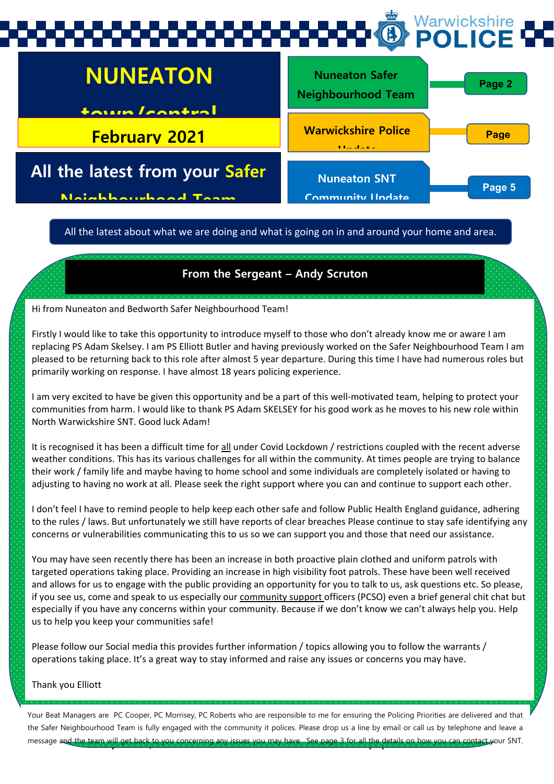## Warwickshire POI ICE



All the latest about what we are doing and what is going on in and around your home and area.

#### **From the Sergeant – Andy Scruton**

Hi from Nuneaton and Bedworth Safer Neighbourhood Team!

Firstly I would like to take this opportunity to introduce myself to those who don't already know me or aware I am replacing PS Adam Skelsey. I am PS Elliott Butler and having previously worked on the Safer Neighbourhood Team I am pleased to be returning back to this role after almost 5 year departure. During this time I have had numerous roles but primarily working on response. I have almost 18 years policing experience.

I am very excited to have be given this opportunity and be a part of this well-motivated team, helping to protect your communities from harm. I would like to thank PS Adam SKELSEY for his good work as he moves to his new role within North Warwickshire SNT. Good luck Adam!

It is recognised it has been a difficult time for all under Covid Lockdown / restrictions coupled with the recent adverse weather conditions. This has its various challenges for all within the community. At times people are trying to balance their work / family life and maybe having to home school and some individuals are completely isolated or having to adjusting to having no work at all. Please seek the right support where you can and continue to support each other.

I don't feel I have to remind people to help keep each other safe and follow Public Health England guidance, adhering to the rules / laws. But unfortunately we still have reports of clear breaches Please continue to stay safe identifying any concerns or vulnerabilities communicating this to us so we can support you and those that need our assistance.

You may have seen recently there has been an increase in both proactive plain clothed and uniform patrols with targeted operations taking place. Providing an increase in high visibility foot patrols. These have been well received and allows for us to engage with the public providing an opportunity for you to talk to us, ask questions etc. So please, if you see us, come and speak to us especially our community support officers (PCSO) even a brief general chit chat but especially if you have any concerns within your community. Because if we don't know we can't always help you. Help us to help you keep your communities safe!

Please follow our Social media this provides further information / topics allowing you to follow the warrants / operations taking place. It's a great way to stay informed and raise any issues or concerns you may have.

Thank you Elliott

message and the team will get back to you concerning any issues you may have. See page 3 for all the details on how you can contact your SNT Your Beat Managers are PC Cooper, PC Morrisey, PC Roberts who are responsible to me for ensuring the Policing Priorities are delivered and that the Safer Neighbourhood Team is fully engaged with the community it polices. Please drop us a line by email or call us by telephone and leave a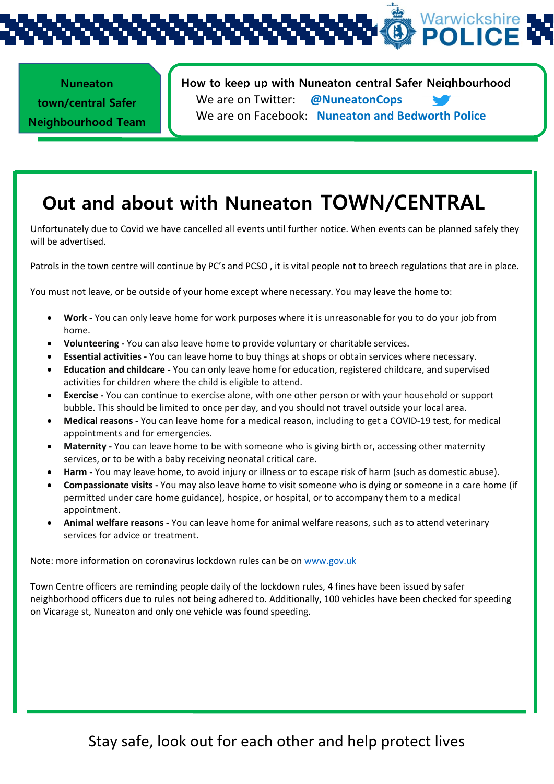l, **Nuneaton town/central Safer Neighbourhood Team** 

**How to keep up with Nuneaton central Safer Neighbourhood**  We are on Twitter: **@NuneatonCops** We are on Facebook: **Nuneaton and Bedworth Police**

## **Out and about with Nuneaton TOWN/CENTRAL**

Unfortunately due to Covid we have cancelled all events until further notice. When events can be planned safely they will be advertised.

Patrols in the town centre will continue by PC's and PCSO , it is vital people not to breech regulations that are in place.

You must not leave, or be outside of your home except where necessary. You may leave the home to:

- **Work -** You can only leave home for work purposes where it is unreasonable for you to do your job from home.
- **Volunteering -** You can also leave home to provide voluntary or charitable services.
- **Essential activities -** You can leave home to buy things at shops or obtain services where necessary.
- **Education and childcare -** You can only leave home for education, registered childcare, and supervised activities for children where the child is eligible to attend.
- **Exercise -** You can continue to exercise alone, with one other person or with your household or support bubble. This should be limited to once per day, and you should not travel outside your local area.
- **Medical reasons -** You can leave home for a medical reason, including to get a COVID-19 test, for medical appointments and for emergencies.
- **Maternity -** You can leave home to be with someone who is giving birth or, accessing other maternity services, or to be with a baby receiving neonatal critical care.
- **Harm -** You may leave home, to avoid injury or illness or to escape risk of harm (such as domestic abuse).
- **Compassionate visits -** You may also leave home to visit someone who is dying or someone in a care home (if permitted under care home guidance), hospice, or hospital, or to accompany them to a medical appointment.
- **Animal welfare reasons -** You can leave home for animal welfare reasons, such as to attend veterinary services for advice or treatment.

Note: more information on coronavirus lockdown rules can be on [www.gov.uk](http://www.gov.uk/)

Town Centre officers are reminding people daily of the lockdown rules, 4 fines have been issued by safer neighborhood officers due to rules not being adhered to. Additionally, 100 vehicles have been checked for speeding on Vicarage st, Nuneaton and only one vehicle was found speeding.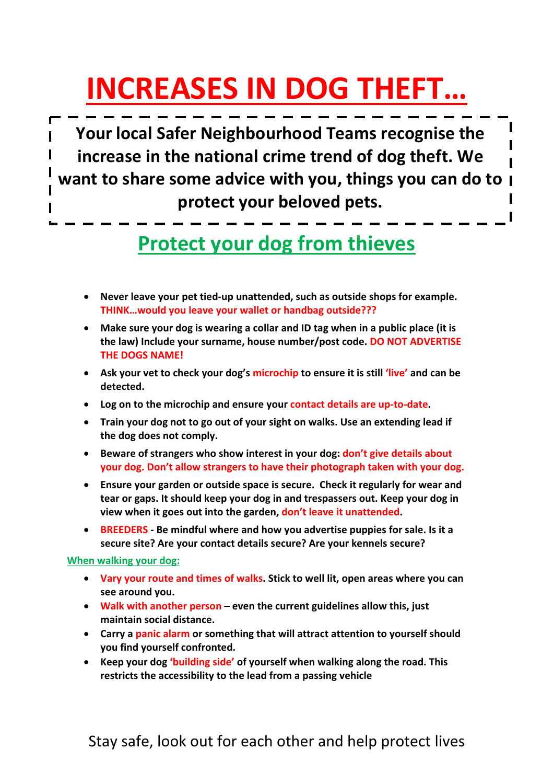# **INCREASES IN DOG THEFT…**

**Your local Safer Neighbourhood Teams recognise the increase in the national crime trend of dog theft. We want to share some advice with you, things you can do to protect your beloved pets.**

# **Protect your dog from thieves**

- **Never leave your pet tied-up unattended, such as outside shops for example. THINK…would you leave your wallet or handbag outside???**
- **Make sure your dog is wearing a collar and ID tag when in a public place (it is the law) Include your surname, house number/post code. DO NOT ADVERTISE THE DOGS NAME!**
- **Ask your vet to check your dog's microchip to ensure it is still 'live' and can be detected.**
- **Log on to the microchip and ensure your contact details are up-to-date.**
- **Train your dog not to go out of your sight on walks. Use an extending lead if the dog does not comply.**
- **Beware of strangers who show interest in your dog: don't give details about your dog. Don't allow strangers to have their photograph taken with your dog.**
- **Ensure your garden or outside space is secure. Check it regularly for wear and tear or gaps. It should keep your dog in and trespassers out. Keep your dog in view when it goes out into the garden, don't leave it unattended.**
- **BREEDERS - Be mindful where and how you advertise puppies for sale. Is it a secure site? Are your contact details secure? Are your kennels secure?**

#### **When walking your dog:**

- **Vary your route and times of walks. Stick to well lit, open areas where you can see around you.**
- **Walk with another person – even the current guidelines allow this, just maintain social distance.**
- **Carry a panic alarm or something that will attract attention to yourself should you find yourself confronted.**
- **Keep your dog 'building side' of yourself when walking along the road. This restricts the accessibility to the lead from a passing vehicle**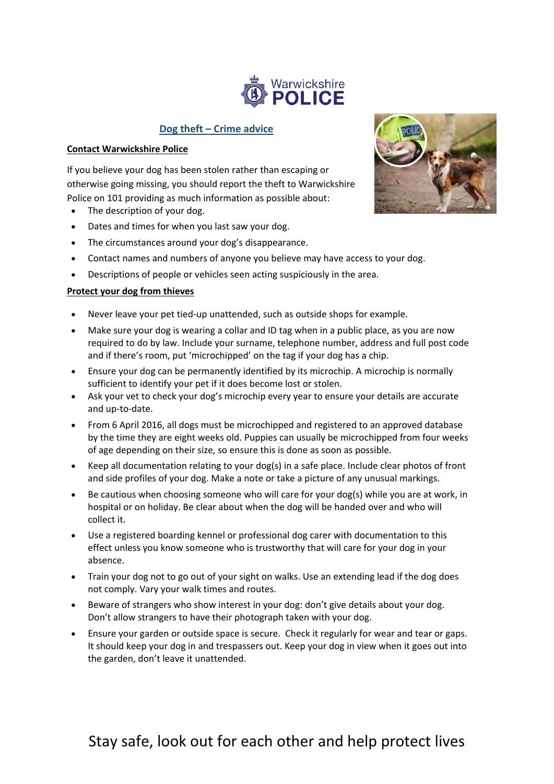

#### **Dog theft – Crime advice**

#### **Contact Warwickshire Police**

If you believe your dog has been stolen rather than escaping or otherwise going missing, you should report the theft to Warwickshire Police on 101 providing as much information as possible about:

- The description of your dog.
- Dates and times for when you last saw your dog.
- The circumstances around your dog's disappearance.
- Contact names and numbers of anyone you believe may have access to your dog.
- Descriptions of people or vehicles seen acting suspiciously in the area.

#### **Protect your dog from thieves**

- Never leave your pet tied-up unattended, such as outside shops for example.
- Make sure your dog is wearing a collar and ID tag when in a public place, as you are now required to do by law. Include your surname, telephone number, address and full post code and if there's room, put 'microchipped' on the tag if your dog has a chip.
- Ensure your dog can be [permanently](http://www.nottinghamshire.police.uk/advice/animals/microchip) identified by its microchip. A microchip is normally sufficient to identify your pet if it does become lost or stolen.
- Ask your vet to check your dog's microchip every year to ensure your details are accurate and up-to-date.
- From 6 April 2016, all dogs must be microchipped and registered to an approved database by the time they are eight weeks old. Puppies can usually be microchipped from four weeks of age depending on their size, so ensure this is done as soon as possible.
- Keep all documentation relating to your dog(s) in a safe place. Include clear photos of front and side profiles of your dog. Make a note or take a picture of any unusual markings.
- Be cautious when choosing someone who will care for your dog(s) while you are at work, in hospital or on holiday. Be clear about when the dog will be handed over and who will collect it.
- Use a registered boarding kennel or professional dog carer with documentation to this effect unless you know someone who is trustworthy that will care for your dog in your absence.
- Train your dog not to go out of your sight on walks. Use an extending lead if the dog does not comply. Vary your walk times and routes.
- Beware of strangers who show interest in your dog: don't give details about your dog. Don't allow strangers to have their photograph taken with your dog.
- Ensure your garden or outside space is secure. Check it regularly for wear and tear or gaps. It should keep your dog in and trespassers out. Keep your dog in view when it goes out into the garden, don't leave it unattended.

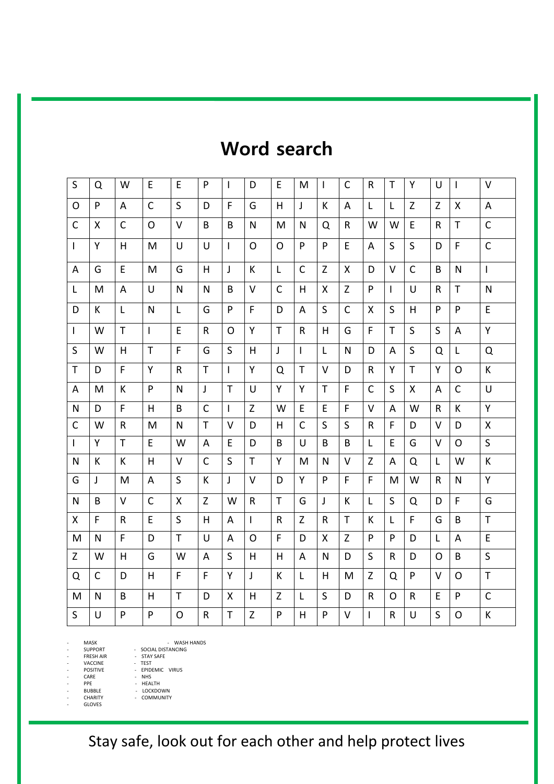### **Word search**

| S            | Q            | W            | E  | E            | P            | T            | D            | E            | M              | <b>I</b>     | C            | R            | Τ            | Y            | U            | $\mathbf{I}$   | V            |
|--------------|--------------|--------------|----|--------------|--------------|--------------|--------------|--------------|----------------|--------------|--------------|--------------|--------------|--------------|--------------|----------------|--------------|
| O            | P            | A            | C  | S            | D            | F            | G            | H            | J              | К            | A            | L            | L            | Z            | Z            | X              | A            |
| $\mathsf{C}$ | X            | $\mathsf{C}$ | O  | V            | B            | B            | $\mathsf{N}$ | M            | N              | Q            | R            | W            | W            | E            | R            | T.             | $\mathsf{C}$ |
| $\mathsf{I}$ | Y            | H            | M  | $\cup$       | U            | $\mathbf{I}$ | $\Omega$     | $\Omega$     | P              | P            | E            | A            | S            | S            | D            | F              | $\mathsf{C}$ |
| A            | G            | E            | M  | G            | H            | $\mathsf{J}$ | K            | L            | $\mathsf{C}$   | $\mathsf Z$  | X            | D            | $\vee$       | $\mathsf{C}$ | B            | $\mathsf{N}$   | $\mathbf{I}$ |
| L            | M            | A            | U  | N            | N            | B            | $\vee$       | $\mathsf{C}$ | H              | X            | Z            | P            | $\mathsf{I}$ | $\cup$       | R            | T              | N            |
| D            | K            | L            | N  | L            | G            | P            | F            | D            | A              | S            | $\mathsf{C}$ | X            | S            | H            | P            | P              | E            |
| $\mathsf{I}$ | W            | $\mathsf{T}$ | L  | E            | R            | O            | Y            | T            | $\mathsf{R}$   | H            | G            | F            | T            | S            | S            | A              | Y            |
| S            | W            | H            | T  | F            | G            | S            | H            | $\mathsf{J}$ | $\overline{1}$ | $\mathsf{L}$ | N            | D            | A            | S            | Q            | L              | Q            |
| T            | D            | F            | Y  | R            | T            | $\mathbf{I}$ | Y            | Q            | T              | $\vee$       | D            | R            | Y            | T            | Y            | $\Omega$       | K            |
| A            | M            | К            | P  | N            | J            | $\mathsf{T}$ | U            | Y            | Y              | $\mathsf{T}$ | F            | C            | S            | X            | A            | $\mathsf{C}$   | U            |
| N            | D            | F            | н  | B            | $\mathsf{C}$ | $\mathbf{I}$ | Z            | W            | E              | E            | F            | $\vee$       | A            | W            | R            | K              | Y            |
| C            | W            | R            | M  | N            | T            | $\vee$       | D            | Н            | $\mathsf{C}$   | $\sf S$      | $\sf S$      | R            | F            | D            | v            | D              | X            |
| $\mathbf{I}$ | Y            | $\mathsf{T}$ | E. | w            | A            | E            | D            | B            | U              | B            | B            | L            | E            | G            | v            | O              | S            |
| N            | K            | K            | H  | V            | $\mathsf{C}$ | S            | $\mathsf{T}$ | Y            | M              | N            | V            | Z            | A            | Q            | L            | W              | K            |
| G            | J            | M            | A  | S            | K            | $\mathsf{I}$ | V            | D            | Y              | P            | F            | F            | M            | W            | R.           | N              | Y            |
| $\mathsf{N}$ | B            | $\vee$       | C  | X            | Z            | W            | $\mathsf{R}$ | T            | G              | J            | К            | L            | $\mathsf S$  | Q            | D            | F              | G            |
| X            | F            | $\mathsf{R}$ | E  | S            | H            | A            | $\mathbf{I}$ | $\mathsf{R}$ | Z              | $\mathsf{R}$ | T            | K            | L            | F            | G            | B              | T            |
| M            | N            | F            | D  | $\mathsf{T}$ | $\cup$       | A            | $\Omega$     | F            | D              | X            | Z            | P            | P            | D            | $\mathsf{L}$ | $\overline{A}$ | E            |
| Z            | W            | H            | G  | W            | A            | S            | H            | H            | A              | N            | D            | S            | R            | D            | 0            | B              | S            |
| Q            | $\mathsf{C}$ | D            | H. | F            | F            | Y            | J            | K            | L              | H            | M            | $\mathsf Z$  | Q            | P            | v            | $\Omega$       | $\mathsf{T}$ |
| M            | N            | B            | H  | $\mathsf{T}$ | D            | X            | H            | Z            | L              | S            | D            | R            | O            | $\mathsf{R}$ | E            | P              | $\mathsf{C}$ |
| S            | U            | P            | P  | $\mathsf{O}$ | R            | $\mathsf{T}$ | $\mathsf{Z}$ | P            | H              | P            | $\vee$       | $\mathbf{I}$ | R            | U            | S            | $\circ$        | К            |

- MASK - WASH HANDS - SUPPORT - SOCIAL DISTANCING - FRESH AIR - STAY SAFE

VACCINE -<br>POSITIVE -

- EPIDEMIC VIRUS<br>- RHS POSITIVE - EPIDEMI<br>CARE - NHS<br>PPE - HEALTH

- PPE<br>BUBBLE BUBBLE - LOCKDOWN<br>CHARITY - COMMUNITY

GLOVES

COMMUNITY

Stay safe, look out for each other and help protect lives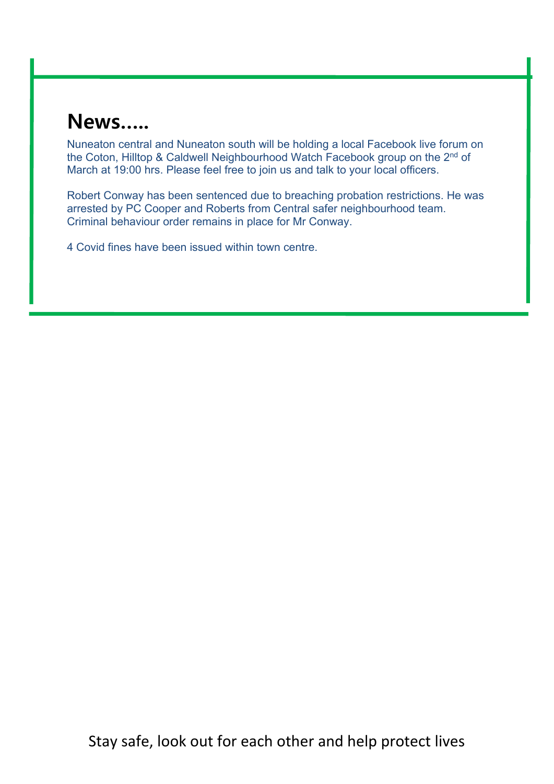# **News…..**

Nuneaton central and Nuneaton south will be holding a local Facebook live forum on the Coton, Hilltop & Caldwell Neighbourhood Watch Facebook group on the 2<sup>nd</sup> of March at 19:00 hrs. Please feel free to join us and talk to your local officers.

Robert Conway has been sentenced due to breaching probation restrictions. He was arrested by PC Cooper and Roberts from Central safer neighbourhood team. Criminal behaviour order remains in place for Mr Conway.

4 Covid fines have been issued within town centre.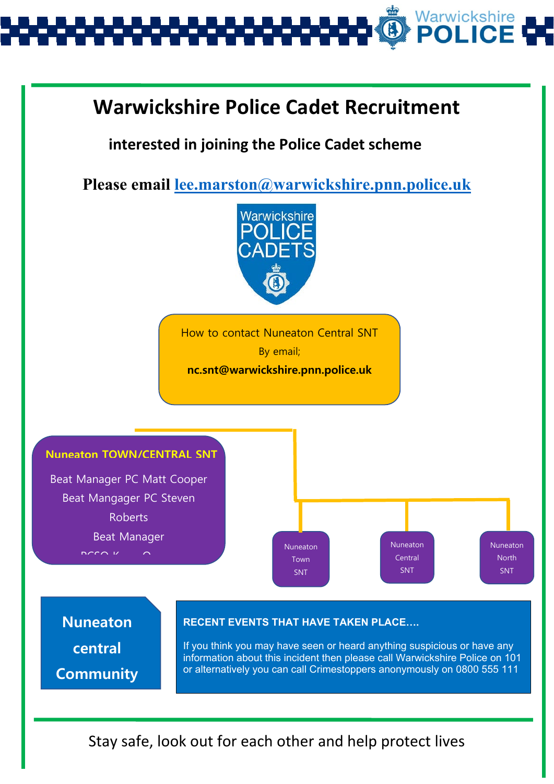

### **Warwickshire Police Cadet Recruitment**

 **interested in joining the Police Cadet scheme**

**Please email [lee.marston@warwickshire.pnn.police.uk](mailto:lee.marston@warwickshire.pnn.police.uk)**



How to contact Nuneaton Central SNT By email; **nc.snt@warwickshire.pnn.police.uk**



**Nuneaton central Community** 

#### **RECENT EVENTS THAT HAVE TAKEN PLACE….**

If you think you may have seen or heard anything suspicious or have any information about this incident then please call Warwickshire Police on 101 or alternatively you can call Crimestoppers anonymously on 0800 555 111

Stay safe, look out for each other and help protect lives